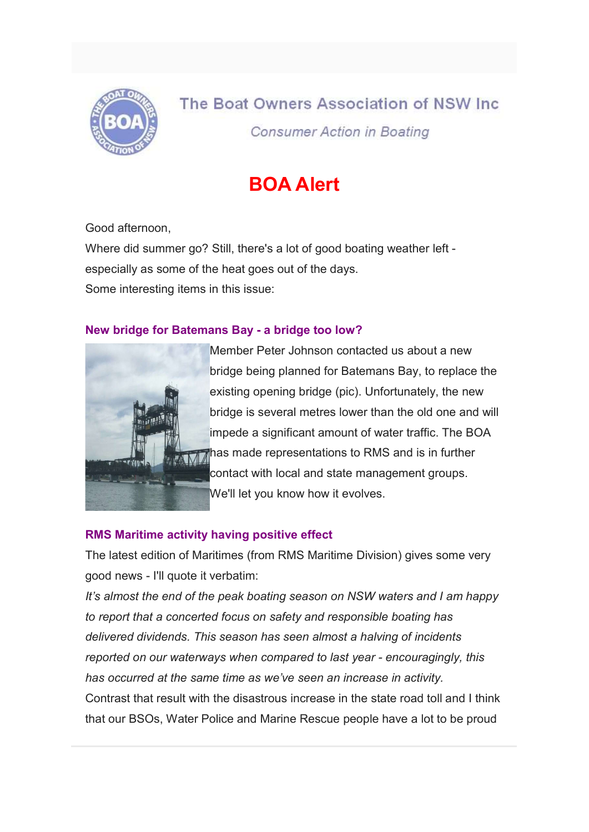

# The Boat Owners Association of NSW Inc.

**Consumer Action in Boating** 

# BOA Alert

Good afternoon,

Where did summer go? Still, there's a lot of good boating weather left especially as some of the heat goes out of the days. Some interesting items in this issue:

### New bridge for Batemans Bay - a bridge too low?



Member Peter Johnson contacted us about a new bridge being planned for Batemans Bay, to replace the existing opening bridge (pic). Unfortunately, the new bridge is several metres lower than the old one and will impede a significant amount of water traffic. The BOA **Thas made representations to RMS and is in further** contact with local and state management groups. We'll let you know how it evolves.

## RMS Maritime activity having positive effect

The latest edition of Maritimes (from RMS Maritime Division) gives some very good news - I'll quote it verbatim:

It's almost the end of the peak boating season on NSW waters and I am happy to report that a concerted focus on safety and responsible boating has delivered dividends. This season has seen almost a halving of incidents reported on our waterways when compared to last year - encouragingly, this has occurred at the same time as we've seen an increase in activity. Contrast that result with the disastrous increase in the state road toll and I think that our BSOs, Water Police and Marine Rescue people have a lot to be proud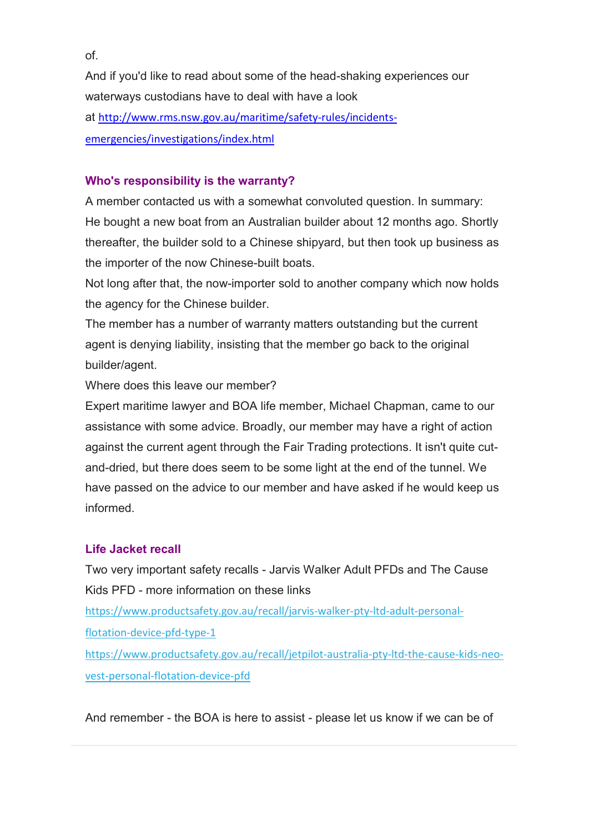And if you'd like to read about some of the head-shaking experiences our waterways custodians have to deal with have a look at http://www.rms.nsw.gov.au/maritime/safety-rules/incidentsemergencies/investigations/index.html

#### Who's responsibility is the warranty?

A member contacted us with a somewhat convoluted question. In summary: He bought a new boat from an Australian builder about 12 months ago. Shortly thereafter, the builder sold to a Chinese shipyard, but then took up business as the importer of the now Chinese-built boats.

Not long after that, the now-importer sold to another company which now holds the agency for the Chinese builder.

The member has a number of warranty matters outstanding but the current agent is denying liability, insisting that the member go back to the original builder/agent.

Where does this leave our member?

Expert maritime lawyer and BOA life member, Michael Chapman, came to our assistance with some advice. Broadly, our member may have a right of action against the current agent through the Fair Trading protections. It isn't quite cutand-dried, but there does seem to be some light at the end of the tunnel. We have passed on the advice to our member and have asked if he would keep us informed.

#### Life Jacket recall

Two very important safety recalls - Jarvis Walker Adult PFDs and The Cause Kids PFD - more information on these links

https://www.productsafety.gov.au/recall/jarvis-walker-pty-ltd-adult-personal-

flotation-device-pfd-type-1

https://www.productsafety.gov.au/recall/jetpilot-australia-pty-ltd-the-cause-kids-neovest-personal-flotation-device-pfd

And remember - the BOA is here to assist - please let us know if we can be of

of.